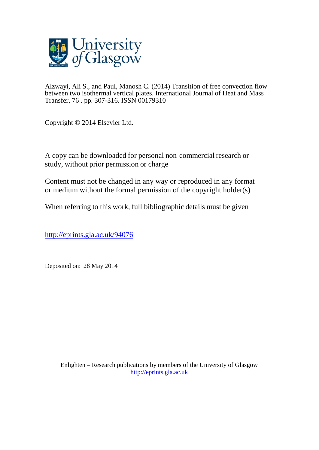

Alzwayi, Ali S., and Paul, Manosh C. (2014) Transition of free convection flow between two isothermal vertical plates. International Journal of Heat and Mass Transfer, 76 . pp. 307-316. ISSN 00179310

Copyright © 2014 Elsevier Ltd.

A copy can be downloaded for personal non-commercial research or study, without prior permission or charge

Content must not be changed in any way or reproduced in any format or medium without the formal permission of the copyright holder(s)

When referring to this work, full bibliographic details must be given

<http://eprints.gla.ac.uk/94076>

Deposited on: 28 May 2014

Enlighten – Research publications by members of the University of Glasgo[w](http://eprints.gla.ac.uk/) [http://eprints.gla.ac.uk](http://eprints.gla.ac.uk/)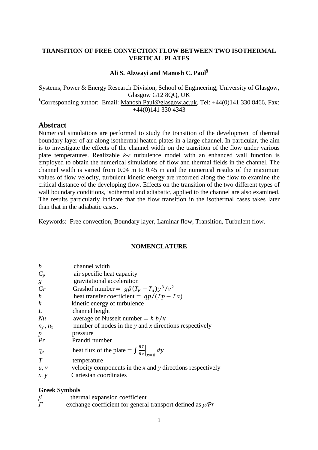#### **TRANSITION OF FREE CONVECTION FLOW BETWEEN TWO ISOTHERMAL VERTICAL PLATES**

#### **Ali S. Alzwayi and Manosh C. Paul§**

Systems, Power & Energy Research Division, School of Engineering, University of Glasgow, Glasgow G12 8QQ, UK §Corresponding author: Email: Manosh.Paul@glasgow.ac.uk, Tel: +44(0)141 330 8466, Fax: +44(0)141 330 4343

#### **Abstract**

Numerical simulations are performed to study the transition of the development of thermal boundary layer of air along isothermal heated plates in a large channel. In particular, the aim is to investigate the effects of the channel width on the transition of the flow under various plate temperatures. Realizable *k-ε* turbulence model with an enhanced wall function is employed to obtain the numerical simulations of flow and thermal fields in the channel. The channel width is varied from 0.04 m to 0.45 m and the numerical results of the maximum values of flow velocity, turbulent kinetic energy are recorded along the flow to examine the critical distance of the developing flow. Effects on the transition of the two different types of wall boundary conditions, isothermal and adiabatic, applied to the channel are also examined. The results particularly indicate that the flow transition in the isothermal cases takes later than that in the adiabatic cases.

Keywords: Free convection, Boundary layer, Laminar flow, Transition, Turbulent flow.

#### **NOMENCLATURE**

| $\boldsymbol{b}$ | channel width                                                                    |
|------------------|----------------------------------------------------------------------------------|
|                  |                                                                                  |
| $C_p$            | air specific heat capacity                                                       |
| g                | gravitational acceleration                                                       |
| Gr               | Grashof number = $g\beta(T_p - T_a)y^3/v^2$                                      |
| h                | heat transfer coefficient = $qp/(Tp - Ta)$                                       |
| k                | kinetic energy of turbulence                                                     |
| L                | channel height                                                                   |
| Nu               | average of Nusselt number $= h b / \kappa$                                       |
| $n_y$ , $n_x$    | number of nodes in the $y$ and $x$ directions respectively                       |
| $\boldsymbol{p}$ | pressure                                                                         |
| Pr               | Prandtl number                                                                   |
| $q_p$            | heat flux of the plate = $\int \frac{\partial T}{\partial x}\Big _{x=\alpha} dy$ |
| T                | temperature                                                                      |
| u, v             | velocity components in the $x$ and $y$ directions respectively                   |
| x, y             | Cartesian coordinates                                                            |

#### **Greek Symbols**

| $\beta$ |  | thermal expansion coefficient |
|---------|--|-------------------------------|
|         |  |                               |

*Г* exchange coefficient for general transport defined as *µ/Pr*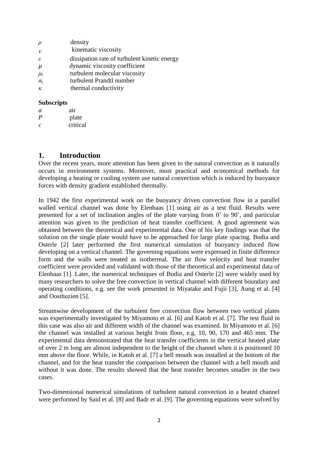| $\rho$        | density                                      |
|---------------|----------------------------------------------|
| $\mathcal{V}$ | kinematic viscosity                          |
| $\varepsilon$ | dissipation rate of turbulent kinetic energy |
| $\mu$         | dynamic viscosity coefficient                |
| $\mu_t$       | turbulent molecular viscosity                |
| $\sigma_t$    | turbulent Prandtl number                     |
| $\kappa$      | thermal conductivity                         |
|               |                                              |

#### **Subscripts**

| a                | air      |
|------------------|----------|
| $\boldsymbol{P}$ | plate    |
| C                | critical |

### **1. Introduction**

Over the recent years, more attention has been given to the natural convection as it naturally occurs in environment systems. Moreover, most practical and economical methods for developing a heating or cooling system use natural convection which is induced by buoyance forces with density gradient established thermally.

In 1942 the first experimental work on the buoyancy driven convection flow in a parallel walled vertical channel was done by Elenbaas [1] using air as a test fluid. Results were presented for a set of inclination angles of the plate varying from 0˚ to 90˚, and particular attention was given to the prediction of heat transfer coefficient. A good agreement was obtained between the theoretical and experimental data. One of his key findings was that the solution on the single plate would have to be approached for large plate spacing. Bodia and Osterle [2] later performed the first numerical simulation of buoyancy induced flow developing on a vertical channel. The governing equations were expressed in finite difference form and the walls were treated as isothermal. The air flow velocity and heat transfer coefficient were provided and validated with those of the theoretical and experimental data of Elenbaas [1]. Later, the numerical techniques of Bodia and Osterle [2] were widely used by many researchers to solve the free convection in vertical channel with different boundary and operating conditions, e.g. see the work presented in Miyatake and Fujii [3], Aung et al. [4] and Oosthuzien [5].

Streamwise development of the turbulent free convection flow between two vertical plates was experimentally investigated by Miyamoto et al. [6] and Katoh et al. [7]. The test fluid in this case was also air and different width of the channel was examined. In Miyamoto et al. [6] the channel was installed at various height from floor, e.g. 10, 90, 170 and 465 mm. The experimental data demonstrated that the heat transfer coefficients in the vertical heated plate of over 2 m long are almost independent to the height of the channel when it is positioned 10 mm above the floor. While, in Katoh et al. [7] a bell mouth was installed at the bottom of the channel, and for the heat transfer the comparison between the channel with a bell mouth and without it was done. The results showed that the heat transfer becomes smaller in the two cases.

Two-dimensional numerical simulations of turbulent natural convection in a heated channel were performed by Said et al. [8] and Badr et al. [9]. The governing equations were solved by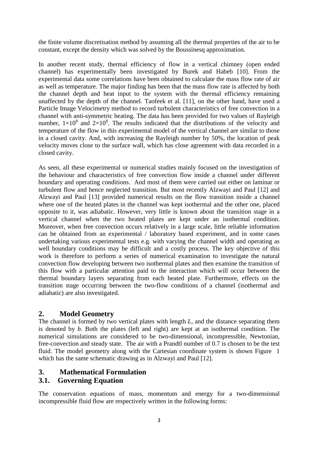the finite volume discretisation method by assuming all the thermal properties of the air to be constant, except the density which was solved by the Boussinesq approximation.

In another recent study, thermal efficiency of flow in a vertical chimney (open ended channel) has experimentally been investigated by Burek and Habeb [10]. From the experimental data some correlations have been obtained to calculate the mass flow rate of air as well as temperature. The major finding has been that the mass flow rate is affected by both the channel depth and heat input to the system with the thermal efficiency remaining unaffected by the depth of the channel. Taofeek et al. [11], on the other hand, have used a Particle Image Velocimetry method to record turbulent characteristics of free convection in a channel with anti-symmetric heating. The data has been provided for two values of Rayleigh number,  $1\times10^8$  and  $2\times10^8$ . The results indicated that the distributions of the velocity and temperature of the flow in this experimental model of the vertical channel are similar to those in a closed cavity. And, with increasing the Rayleigh number by 50%, the location of peak velocity moves close to the surface wall, which has close agreement with data recorded in a closed cavity.

As seen, all these experimental or numerical studies mainly focused on the investigation of the behaviour and characteristics of free convection flow inside a channel under different boundary and operating conditions. And most of them were carried out either on laminar or turbulent flow and hence neglected transition. But most recently Alzwayi and Paul [12] and Alzwayi and Paul [13] provided numerical results on the flow transition inside a channel where one of the heated plates in the channel was kept isothermal and the other one, placed opposite to it, was adiabatic. However, very little is known about the transition stage in a vertical channel when the two heated plates are kept under an isothermal condition. Moreover, when free convection occurs relatively in a large scale, little reliable information can be obtained from an experimental / laboratory based experiment, and in some cases undertaking various experimental tests e.g. with varying the channel width and operating as well boundary conditions may be difficult and a costly process. The key objective of this work is therefore to perform a series of numerical examination to investigate the natural convection flow developing between two isothermal plates and then examine the transition of this flow with a particular attention paid to the interaction which will occur between the thermal boundary layers separating from each heated plate. Furthermore, effects on the transition stage occurring between the two-flow conditions of a channel (isothermal and adiabatic) are also investigated.

### **2. Model Geometry**

The channel is formed by two vertical plates with length *L*, and the distance separating them is denoted by *b*. Both the plates (left and right) are kept at an isothermal condition. The numerical simulations are considered to be two-dimensional, incompressible, Newtonian, free-convection and steady state. The air with a Prandtl number of 0.7 is chosen to be the test fluid. The model geometry along with the Cartesian coordinate system is shown Figure 1 which has the same schematic drawing as in Alzwayi and Paul [12].

## **3. Mathematical Formulation**

## **3.1. Governing Equation**

The conservation equations of mass, momentum and energy for a two-dimensional incompressible fluid flow are respectively written in the following forms: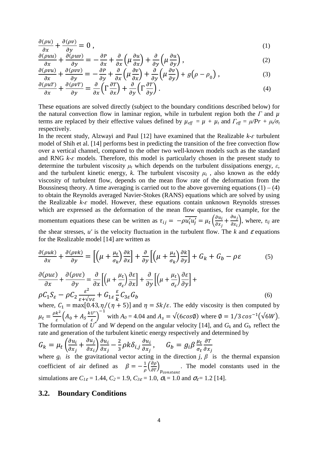$$
\frac{\partial(\rho u)}{\partial x} + \frac{\partial(\rho v)}{\partial y} = 0 \tag{1}
$$

$$
\frac{\partial(\rho uu)}{\partial x} + \frac{\partial(\rho uv)}{\partial y} = -\frac{\partial P}{\partial x} + \frac{\partial}{\partial x} \left( \mu \frac{\partial u}{\partial x} \right) + \frac{\partial}{\partial y} \left( \mu \frac{\partial u}{\partial y} \right),\tag{2}
$$

$$
\frac{\partial(\rho vu)}{\partial x} + \frac{\partial(\rho vv)}{\partial y} = -\frac{\partial P}{\partial y} + \frac{\partial}{\partial x} \left( \mu \frac{\partial v}{\partial x} \right) + \frac{\partial}{\partial y} \left( \mu \frac{\partial v}{\partial y} \right) + g \left( \rho - \rho_0 \right),
$$
\n(3)

$$
\frac{\partial(\rho u T)}{\partial x} + \frac{\partial(\rho v T)}{\partial y} = \frac{\partial}{\partial x} \left( \Gamma \frac{\partial T}{\partial x} \right) + \frac{\partial}{\partial y} \left( \Gamma \frac{\partial T}{\partial y} \right). \tag{4}
$$

These equations are solved directly (subject to the boundary conditions described below) for the natural convection flow in laminar region, while in turbulent region both the *Γ* and *µ* terms are replaced by their effective values defined by  $\mu_{eff} = \mu + \mu_t$  and  $\Gamma_{eff} = \mu/Pr + \mu_t/\sigma_t$ respectively.

In the recent study, Alzwayi and Paul  $[12]$  have examined that the Realizable  $k$ - $\epsilon$  turbulent model of Shih et al. [14] performs best in predicting the transition of the free convection flow over a vertical channel, compared to the other two well-known models such as the standard and RNG  $k-\varepsilon$  models. Therefore, this model is particularly chosen in the present study to determine the turbulent viscosity  $\mu_t$  which depends on the turbulent dissipations energy,  $\varepsilon$ , and the turbulent kinetic energy,  $k$ . The turbulent viscosity  $\mu_t$ , also known as the eddy viscosity of turbulent flow, depends on the mean flow rate of the deformation from the Boussinesq theory. A time averaging is carried out to the above governing equations  $(1) - (4)$ to obtain the Reynolds averaged Navier-Stokes (RANS) equations which are solved by using the Realizable  $k$ - $\varepsilon$  model. However, these equations contain unknown Reynolds stresses which are expressed as the deformation of the mean flow quantises, for example, for the momentum equations these can be written as  $\tau_{ij} = -\rho \overline{u'_i u'_j} = \mu_t \left( \frac{\partial u_i}{\partial x_i} \right)$  $\frac{\partial u_i}{\partial x_j} + \frac{\partial u_j}{\partial x_i}$  $\left(\frac{\partial u_j}{\partial x_i}\right)$ , where,  $\tau_{ij}$  are the shear stresses,  $u'$  is the velocity fluctuation in the turbulent flow. The  $k$  and  $\varepsilon$  equations for the Realizable model [14] are written as

$$
\frac{\partial(\rho u k)}{\partial x} + \frac{\partial(\rho v k)}{\partial y} = \left[ \left( \mu + \frac{\mu_t}{\sigma_k} \right) \frac{\partial k}{\partial x} \right] + \frac{\partial}{\partial y} \left[ \left( \mu + \frac{\mu_t}{\sigma_k} \right) \frac{\partial k}{\partial y} \right] + G_k + G_b - \rho \varepsilon \tag{5}
$$

$$
\frac{\partial(\rho u \varepsilon)}{\partial x} + \frac{\partial(\rho v \varepsilon)}{\partial y} = \frac{\partial}{\partial x} \left[ \left( \mu + \frac{\mu_t}{\sigma_{\varepsilon}} \right) \frac{\partial \varepsilon}{\partial x} \right] + \frac{\partial}{\partial y} \left[ \left( \mu + \frac{\mu_t}{\sigma_{\varepsilon}} \right) \frac{\partial \varepsilon}{\partial y} \right] + \rho C_1 S_{\varepsilon} - \rho C_2 \frac{\varepsilon^2}{\varepsilon + \sqrt{v \varepsilon}} + G_{1\varepsilon} \frac{\varepsilon}{k} C_{3\varepsilon} G_b \tag{6}
$$

where,  $C_1 = \max[0.43, \eta/(\eta + 5)]$  and  $\eta = Sk/\varepsilon$ . The eddy viscosity is then computed by  $\mu_t = \frac{\rho k^2}{\varepsilon}$  $\frac{k^2}{\varepsilon} \Big( A_0 + A_S \frac{k U^*}{\varepsilon} \Big)$  $\frac{\epsilon}{\varepsilon}$ <sup>-1</sup> with  $A_0 = 4.04$  and  $A_s = \sqrt{(6\cos\phi)}$  where  $\phi = 1/3\cos^{-1}(\sqrt{6}W)$ . The formulation of  $\hat{U}^*$  and *W* depend on the angular velocity [14], and  $G_k$  and  $G_b$  reflect the rate and generation of the turbulent kinetic energy respectively and determined by

$$
G_k = \mu_t \left( \frac{\partial u_i}{\partial x_j} + \frac{\partial u_j}{\partial x_i} \right) \frac{\partial u_i}{\partial x_j} - \frac{2}{3} \rho k \delta_{i,j} \frac{\partial u_i}{\partial x_j}, \qquad G_b = g_i \beta \frac{\mu_t}{\sigma_t} \frac{\partial T}{\partial x_j}
$$

where  $g_i$  is the gravitational vector acting in the direction *j*,  $\beta$  is the thermal expansion coefficient of air defined as  $\beta = -\frac{1}{\rho} \left( \frac{\partial \rho}{\partial \tau} \right)_{p_{constant}}$ . The model constants used in the simulations are  $C_{1\epsilon} = 1.44$ ,  $C_2 = 1.9$ ,  $C_{3\epsilon} = 1.0$ ,  $\sigma_k = 1.0$  and  $\sigma_{\epsilon} = 1.2$  [14].

#### **3.2. Boundary Conditions**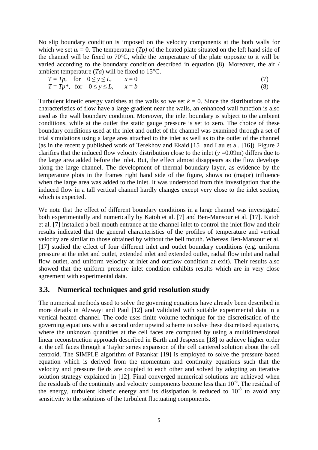No slip boundary condition is imposed on the velocity components at the both walls for which we set  $u_i = 0$ . The temperature  $(Tp)$  of the heated plate situated on the left hand side of the channel will be fixed to 70°C, while the temperature of the plate opposite to it will be varied according to the boundary condition described in equation (8). Moreover, the air / ambient temperature  $(T_a)$  will be fixed to 15<sup>o</sup>C.

|  | $T = Tp$ , for $0 \le y \le L$ , $x = 0$   |  |
|--|--------------------------------------------|--|
|  | $T = Tp^*$ , for $0 \le y \le L$ , $x = b$ |  |

Turbulent kinetic energy vanishes at the walls so we set  $k = 0$ . Since the distributions of the characteristics of flow have a large gradient near the walls, an enhanced wall function is also used as the wall boundary condition. Moreover, the inlet boundary is subject to the ambient conditions, while at the outlet the static gauge pressure is set to zero. The choice of these boundary conditions used at the inlet and outlet of the channel was examined through a set of trial simulations using a large area attached to the inlet as well as to the outlet of the channel (as in the recently published work of Terekhov and Ekaid [15] and Lau et al. [16]). Figure 2 clarifies that the induced flow velocity distribution close to the inlet (*y* =0.09m) differs due to the large area added before the inlet. But, the effect almost disappears as the flow develops along the large channel. The development of thermal boundary layer, as evidence by the temperature plots in the frames right hand side of the figure, shows no (major) influence when the large area was added to the inlet. It was understood from this investigation that the induced flow in a tall vertical channel hardly changes except very close to the inlet section, which is expected.

We note that the effect of different boundary conditions in a large channel was investigated both experimentally and numerically by Katoh et al. [7] and Ben-Mansour et al. [17]. Katoh et al. [7] installed a bell mouth entrance at the channel inlet to control the inlet flow and their results indicated that the general characteristics of the profiles of temperature and vertical velocity are similar to those obtained by without the bell mouth. Whereas Ben-Mansour et al. [17] studied the effect of four different inlet and outlet boundary conditions (e.g. uniform pressure at the inlet and outlet, extended inlet and extended outlet, radial flow inlet and radial flow outlet, and uniform velocity at inlet and outflow condition at exit). Their results also showed that the uniform pressure inlet condition exhibits results which are in very close agreement with experimental data.

#### **3.3. Numerical techniques and grid resolution study**

The numerical methods used to solve the governing equations have already been described in more details in Alzwayi and Paul [12] and validated with suitable experimental data in a vertical heated channel. The code uses finite volume technique for the discretisation of the governing equations with a second order upwind scheme to solve these discretised equations, where the unknown quantities at the cell faces are computed by using a multidimensional linear reconstruction approach described in Barth and Jespersen [18] to achieve higher order at the cell faces through a Taylor series expansion of the cell cantered solution about the cell centroid. The SIMPLE algorithm of Patankar [19] is employed to solve the pressure based equation which is derived from the momentum and continuity equations such that the velocity and pressure fields are coupled to each other and solved by adopting an iterative solution strategy explained in [12]. Final converged numerical solutions are achieved when the residuals of the continuity and velocity components become less than  $10^{-6}$ . The residual of the energy, turbulent kinetic energy and its dissipation is reduced to  $10^{-8}$  to avoid any sensitivity to the solutions of the turbulent fluctuating components.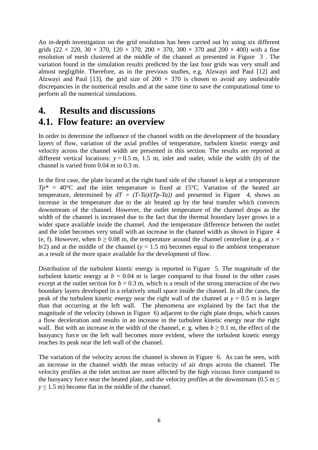An in-depth investigation on the grid resolution has been carried out by using six different grids (22  $\times$  220, 30  $\times$  370, 120  $\times$  370, 200  $\times$  370, 300  $\times$  370 and 200  $\times$  400) with a fine resolution of mesh clustered at the middle of the channel as presented in Figure 3 . The variation found in the simulation results predicted by the last four grids was very small and almost negligible. Therefore, as in the previous studies, e.g. Alzwayi and Paul [12] and Alzwayi and Paul [13], the grid size of  $200 \times 370$  is chosen to avoid any undesirable discrepancies in the numerical results and at the same time to save the computational time to perform all the numerical simulations.

## **4. Results and discussions**

## **4.1. Flow feature: an overview**

In order to determine the influence of the channel width on the development of the boundary layers of flow, variation of the axial profiles of temperature, turbulent kinetic energy and velocity across the channel width are presented in this section. The results are reported at different vertical locations:  $y = 0.5$  m, 1.5 m, inlet and outlet, while the width (*b*) of the channel is varied from 0.04 m to 0.3 m.

In the first case, the plate located at the right hand side of the channel is kept at a temperature  $Tp^* = 40^{\circ}\text{C}$  and the inlet temperature is fixed at 15<sup>o</sup>C. Variation of the heated air temperature, determined by  $dT = (T-Ta)/(Tp-Ta)$  and presented in Figure 4, shows an increase in the temperature due to the air heated up by the heat transfer which convects downstream of the channel. However, the outlet temperature of the channel drops as the width of the channel is increased due to the fact that the thermal boundary layer grows in a wider space available inside the channel. And the temperature difference between the outlet and the inlet becomes very small with an increase in the channel width as shown in Figure 4 (e, f). However, when  $b \ge 0.08$  m, the temperature around the channel centreline (e.g. at  $x =$  $b/2$ ) and at the middle of the channel ( $y = 1.5$  m) becomes equal to the ambient temperature as a result of the more space available for the development of flow.

Distribution of the turbulent kinetic energy is reported in Figure 5. The magnitude of the turbulent kinetic energy at  $b = 0.04$  m is larger compared to that found in the other cases except at the outlet section for  $b = 0.3$  m, which is a result of the strong interaction of the two boundary layers developed in a relatively small space inside the channel. In all the cases, the peak of the turbulent kinetic energy near the right wall of the channel at  $y = 0.5$  m is larger than that occurring at the left wall. The phenomena are explained by the fact that the magnitude of the velocity (shown in Figure  $\overline{6}$ ) adjacent to the right plate drops, which causes a flow deceleration and results in an increase in the turbulent kinetic energy near the right wall. But with an increase in the width of the channel, e. g. when  $b \ge 0.1$  m, the effect of the buoyancy force on the left wall becomes more evident, where the turbulent kinetic energy reaches its peak near the left wall of the channel.

The variation of the velocity across the channel is shown in Figure 6. As can be seen, with an increase in the channel width the mean velocity of air drops across the channel. The velocity profiles at the inlet section are more affected by the high viscous force compared to the buoyancy force near the heated plate, and the velocity profiles at the downstream (0.5 m  $\leq$  $y \le 1.5$  m) become flat in the middle of the channel.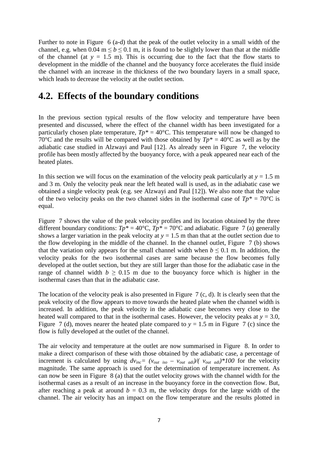Further to note in Figure 6 (a-d) that the peak of the outlet velocity in a small width of the channel, e.g. when 0.04 m  $\leq b \leq 0.1$  m, it is found to be slightly lower than that at the middle of the channel (at  $y = 1.5$  m). This is occurring due to the fact that the flow starts to development in the middle of the channel and the buoyancy force accelerates the fluid inside the channel with an increase in the thickness of the two boundary layers in a small space, which leads to decrease the velocity at the outlet section.

## **4.2. Effects of the boundary conditions**

In the previous section typical results of the flow velocity and temperature have been presented and discussed, where the effect of the channel width has been investigated for a particularly chosen plate temperature,  $Tp^* = 40^{\circ}$ C. This temperature will now be changed to 70°C and the results will be compared with those obtained by  $Tp^* = 40$ °C as well as by the adiabatic case studied in Alzwayi and Paul [12]. As already seen in Figure 7, the velocity profile has been mostly affected by the buoyancy force, with a peak appeared near each of the heated plates.

In this section we will focus on the examination of the velocity peak particularly at  $y = 1.5$  m and 3 m. Only the velocity peak near the left heated wall is used, as in the adiabatic case we obtained a single velocity peak (e.g. see Alzwayi and Paul [12]). We also note that the value of the two velocity peaks on the two channel sides in the isothermal case of  $Tp^* = 70^{\circ}\text{C}$  is equal.

Figure 7 shows the value of the peak velocity profiles and its location obtained by the three different boundary conditions:  $Tp^* = 40^{\circ}\text{C}$ ,  $Tp^* = 70^{\circ}\text{C}$  and adiabatic. Figure 7 (a) generally shows a larger variation in the peak velocity at  $y = 1.5$  m than that at the outlet section due to the flow developing in the middle of the channel. In the channel outlet, Figure 7 (b) shows that the variation only appears for the small channel width when  $b \le 0.1$  m. In addition, the velocity peaks for the two isothermal cases are same because the flow becomes fully developed at the outlet section, but they are still larger than those for the adiabatic case in the range of channel width  $b > 0.15$  m due to the buoyancy force which is higher in the isothermal cases than that in the adiabatic case.

The location of the velocity peak is also presented in Figure 7 (c, d). It is clearly seen that the peak velocity of the flow appears to move towards the heated plate when the channel width is increased. In addition, the peak velocity in the adiabatic case becomes very close to the heated wall compared to that in the isothermal cases. However, the velocity peaks at  $y = 3.0$ , Figure 7 (d), moves nearer the heated plate compared to  $y = 1.5$  m in Figure 7 (c) since the flow is fully developed at the outlet of the channel.

The air velocity and temperature at the outlet are now summarised in Figure 8. In order to make a direct comparison of these with those obtained by the adiabatic case, a percentage of increment is calculated by using  $dv_{inc} = (v_{out} \,_{iso} - v_{out} \,_{adi})/(v_{out} \,_{adi})*100$  for the velocity magnitude. The same approach is used for the determination of temperature increment. As can now be seen in Figure 8 (a) that the outlet velocity grows with the channel width for the isothermal cases as a result of an increase in the buoyancy force in the convection flow. But, after reaching a peak at around  $b = 0.3$  m, the velocity drops for the large width of the channel. The air velocity has an impact on the flow temperature and the results plotted in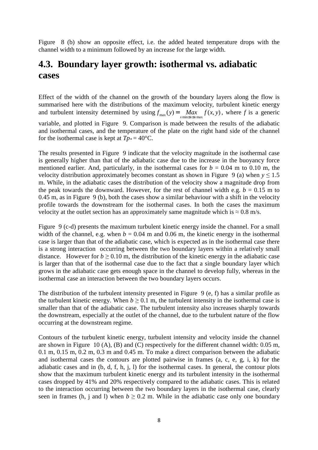Figure 8 (b) show an opposite effect, i.e. the added heated temperature drops with the channel width to a minimum followed by an increase for the large width.

# **4.3. Boundary layer growth: isothermal vs. adiabatic cases**

Effect of the width of the channel on the growth of the boundary layers along the flow is summarised here with the distributions of the maximum velocity, turbulent kinetic energy and turbulent intensity determined by using  $f_{\text{max}}(y) = \frac{Max}{x \text{ min} \le x \le x \text{ max}} f(x, y)$ , where *f* is a generic variable, and plotted in Figure 9. Comparison is made between the results of the adiabatic and isothermal cases, and the temperature of the plate on the right hand side of the channel for the isothermal case is kept at  $Tp^* = 40^{\circ}C$ .

The results presented in Figure 9 indicate that the velocity magnitude in the isothermal case is generally higher than that of the adiabatic case due to the increase in the buoyancy force mentioned earlier. And, particularly, in the isothermal cases for  $b = 0.04$  m to 0.10 m, the velocity distribution approximately becomes constant as shown in Figure 9 (a) when  $y \le 1.5$ m. While, in the adiabatic cases the distribution of the velocity show a magnitude drop from the peak towards the downward. However, for the rest of channel width e.g.  $b = 0.15$  m to 0.45 m, as in Figure 9 (b), both the cases show a similar behaviour with a shift in the velocity profile towards the downstream for the isothermal cases. In both the cases the maximum velocity at the outlet section has an approximately same magnitude which is  $\approx 0.8$  m/s.

Figure 9 (c-d) presents the maximum turbulent kinetic energy inside the channel. For a small width of the channel, e.g. when  $b = 0.04$  m and 0.06 m, the kinetic energy in the isothermal case is larger than that of the adiabatic case, which is expected as in the isothermal case there is a strong interaction occurring between the two boundary layers within a relatively small distance. However for  $b > 0.10$  m, the distribution of the kinetic energy in the adiabatic case is larger than that of the isothermal case due to the fact that a single boundary layer which grows in the adiabatic case gets enough space in the channel to develop fully, whereas in the isothermal case an interaction between the two boundary layers occurs.

The distribution of the turbulent intensity presented in Figure 9 (e, f) has a similar profile as the turbulent kinetic energy. When  $b \ge 0.1$  m, the turbulent intensity in the isothermal case is smaller than that of the adiabatic case. The turbulent intensity also increases sharply towards the downstream, especially at the outlet of the channel, due to the turbulent nature of the flow occurring at the downstream regime.

Contours of the turbulent kinetic energy, turbulent intensity and velocity inside the channel are shown in Figure 10 (A), (B) and (C) respectively for the different channel width: 0.05 m, 0.1 m, 0.15 m, 0.2 m, 0.3 m and 0.45 m. To make a direct comparison between the adiabatic and isothermal cases the contours are plotted pairwise in frames (a, c, e, g, i, k) for the adiabatic cases and in (b, d, f, h, j, l) for the isothermal cases. In general, the contour plots show that the maximum turbulent kinetic energy and its turbulent intensity in the isothermal cases dropped by 41% and 20% respectively compared to the adiabatic cases. This is related to the interaction occurring between the two boundary layers in the isothermal case, clearly seen in frames (h, j and l) when  $b \ge 0.2$  m. While in the adiabatic case only one boundary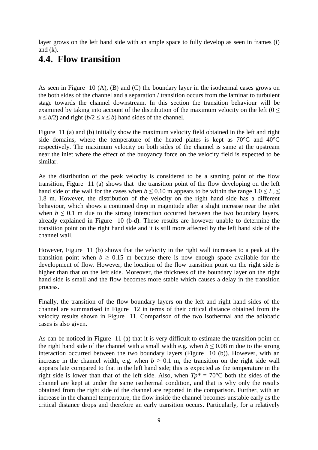layer grows on the left hand side with an ample space to fully develop as seen in frames (i) and  $(k)$ .

## **4.4. Flow transition**

As seen in Figure 10 (A), (B) and (C) the boundary layer in the isothermal cases grows on the both sides of the channel and a separation / transition occurs from the laminar to turbulent stage towards the channel downstream. In this section the transition behaviour will be examined by taking into account of the distribution of the maximum velocity on the left ( $0 \le$  $x \leq b/2$ ) and right  $(b/2 \leq x \leq b)$  hand sides of the channel.

Figure 11 (a) and (b) initially show the maximum velocity field obtained in the left and right side domains, where the temperature of the heated plates is kept as 70°C and 40°C respectively. The maximum velocity on both sides of the channel is same at the upstream near the inlet where the effect of the buoyancy force on the velocity field is expected to be similar.

As the distribution of the peak velocity is considered to be a starting point of the flow transition, Figure 11 (a) shows that the transition point of the flow developing on the left hand side of the wall for the cases when  $b \le 0.10$  m appears to be within the range  $1.0 \le L_c \le$ 1.8 m. However, the distribution of the velocity on the right hand side has a different behaviour, which shows a continued drop in magnitude after a slight increase near the inlet when  $b \leq 0.1$  m due to the strong interaction occurred between the two boundary layers, already explained in Figure 10 (b-d). These results are however unable to determine the transition point on the right hand side and it is still more affected by the left hand side of the channel wall.

However, Figure 11 (b) shows that the velocity in the right wall increases to a peak at the transition point when  $b \ge 0.15$  m because there is now enough space available for the development of flow. However, the location of the flow transition point on the right side is higher than that on the left side. Moreover, the thickness of the boundary layer on the right hand side is small and the flow becomes more stable which causes a delay in the transition process.

Finally, the transition of the flow boundary layers on the left and right hand sides of the channel are summarised in Figure 12 in terms of their critical distance obtained from the velocity results shown in Figure 11. Comparison of the two isothermal and the adiabatic cases is also given.

As can be noticed in Figure 11 (a) that it is very difficult to estimate the transition point on the right hand side of the channel with a small width e.g. when  $b \le 0.08$  m due to the strong interaction occurred between the two boundary layers (Figure 10 (b)). However, with an increase in the channel width, e.g. when  $b \ge 0.1$  m, the transition on the right side wall appears late compared to that in the left hand side; this is expected as the temperature in the right side is lower than that of the left side. Also, when  $Tp^* = 70^{\circ}$ C both the sides of the channel are kept at under the same isothermal condition, and that is why only the results obtained from the right side of the channel are reported in the comparison. Further, with an increase in the channel temperature, the flow inside the channel becomes unstable early as the critical distance drops and therefore an early transition occurs. Particularly, for a relatively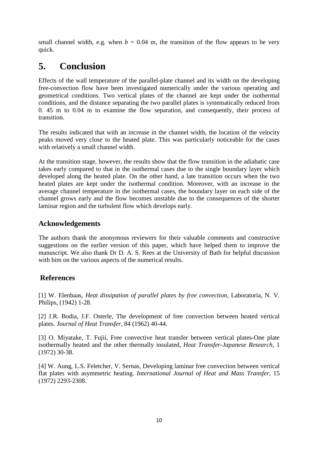small channel width, e.g. when  $b = 0.04$  m, the transition of the flow appears to be very quick.

# **5. Conclusion**

Effects of the wall temperature of the parallel-plate channel and its width on the developing free-convection flow have been investigated numerically under the various operating and geometrical conditions. Two vertical plates of the channel are kept under the isothermal conditions, and the distance separating the two parallel plates is systematically reduced from 0. 45 m to 0.04 m to examine the flow separation, and consequently, their process of transition.

The results indicated that with an increase in the channel width, the location of the velocity peaks moved very close to the heated plate. This was particularly noticeable for the cases with relatively a small channel width.

At the transition stage, however, the results show that the flow transition in the adiabatic case takes early compared to that in the isothermal cases due to the single boundary layer which developed along the heated plate. On the other hand, a late transition occurs when the two heated plates are kept under the isothermal condition. Moreover, with an increase in the average channel temperature in the isothermal cases, the boundary layer on each side of the channel grows early and the flow becomes unstable due to the consequences of the shorter laminar region and the turbulent flow which develops early.

## **Acknowledgements**

The authors thank the anonymous reviewers for their valuable comments and constructive suggestions on the earlier version of this paper, which have helped them to improve the manuscript. We also thank Dr D. A. S. Rees at the University of Bath for helpful discussion with him on the various aspects of the numerical results.

## **References**

[1] W. Elenbaas, *Heat dissipation of parallel plates by free convection*, Laboratoria, N. V. Philips, (1942) 1-28.

[2] J.R. Bodia, J.F. Osterle, The development of free convection between heated vertical plates*. Journal of Heat Transfer*, 84 (1962) 40-44.

[3] O. Miyatake, T. Fujii, Free convective heat transfer between vertical plates-One plate isothermally heated and the other thermally insulated*, Heat Transfer-Japanese Research*, 1 (1972) 30-38.

[4] W. Aung, L.S. Feletcher, V. Sernas, Developing laminar free convection between vertical flat plates with asymmetric heating*. International Journal of Heat and Mass Transfer*, 15 (1972) 2293-2308.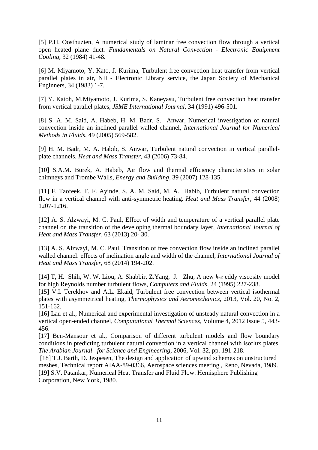[5] P.H. Oosthuzien, A numerical study of laminar free convection flow through a vertical open heated plane duct*. Fundamentals on Natural Convection - Electronic Equipment Cooling,* 32 (1984) 41-48.

[6] M. Miyamoto, Y. Kato, J. Kurima, Turbulent free convection heat transfer from vertical parallel plates in air, NII - Electronic Library service, the Japan Society of Mechanical Enginners, 34 (1983) 1-7.

[7] Y. Katoh, M.Miyamoto, J. Kurima, S. Kaneyasu, Turbulent free convection heat transfer from vertical parallel plates, *JSME International Journal*, 34 (1991) 496-501.

[8] S. A. M. Said, A. Habeb, H. M. Badr, S. Anwar, Numerical investigation of natural convection inside an inclined parallel walled channel, *International Journal for Numerical Methods in Fluids*, 49 (2005) 569-582.

[9] H. M. Badr, M. A. Habib, S. Anwar, Turbulent natural convection in vertical parallelplate channels, *Heat and Mass Transfer*, 43 (2006) 73-84.

[10] S.A.M. Burek, A. Habeb, Air flow and thermal efficiency characteristics in solar chimneys and Trombe Walls*, Energy and Building*, 39 (2007) 128-135.

[11] F. Taofeek, T. F. Ayinde, S. A. M. Said, M. A. Habib, Turbulent natural convection flow in a vertical channel with anti-symmetric heating*. Heat and Mass Transfer*, 44 (2008) 1207-1216.

[12] A. S. Alzwayi, M. C. Paul, Effect of width and temperature of a vertical parallel plate channel on the transition of the developing thermal boundary layer, *International Journal of Heat and Mass Transfer*, 63 (2013) 20- 30.

[13] A. S. Alzwayi, M. C. Paul, Transition of free convection flow inside an inclined parallel walled channel: effects of inclination angle and width of the channel, *International Journal of Heat and Mass Transfer*, 68 (2014) 194-202.

[14] T, H. Shih, W. W. Liou, A. Shabbir, Z.Yang, J. Zhu, A new *k*-*ε* eddy viscosity model for high Reynolds number turbulent flows, *Computers and Fluids*, 24 (1995) 227-238.

[15] V.I. Terekhov and A.L. Ekaid, Turbulent free convection between vertical isothermal plates with asymmetrical heating, *Thermophysics and Aeromechanics*, 2013, Vol. 20, No. 2, 151-162.

[16] Lau et al., Numerical and experimental investigation of unsteady natural convection in a vertical open-ended channel, *Computational Thermal Sciences*, Volume 4, 2012 Issue 5, 443- 456.

[17] Ben-Mansour et al., Comparison of different turbulent models and flow boundary conditions in predicting turbulent natural convection in a vertical channel with isoflux plates, *The Arabian Journal for Science and Engineering*, 2006, Vol. 32, pp. 191-218.

 [18] T.J. Barth, D. Jespesen, The design and application of upwind schemes on unstructured meshes, Technical report AIAA-89-0366, Aerospace sciences meeting , Reno, Nevada, 1989. [19] S.V. Patankar, Numerical Heat Transfer and Fluid Flow. Hemisphere Publishing Corporation, New York, 1980.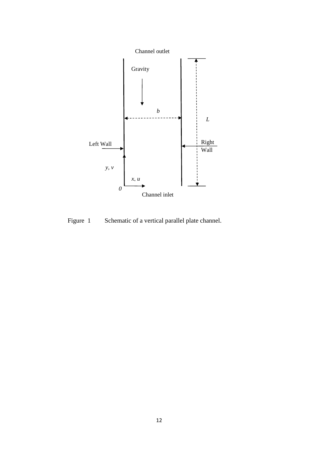

Figure 1 Schematic of a vertical parallel plate channel.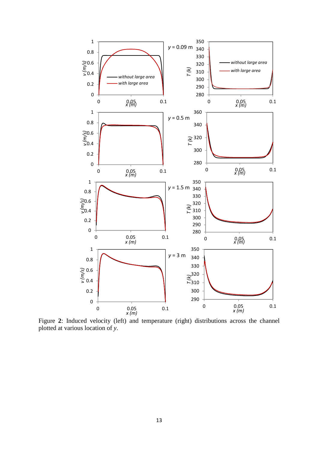

Figure **2**: Induced velocity (left) and temperature (right) distributions across the channel plotted at various location of *y*.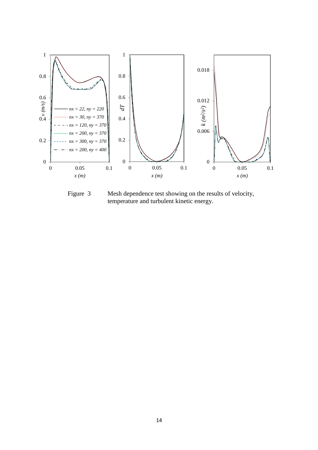

Figure 3 Mesh dependence test showing on the results of velocity, temperature and turbulent kinetic energy.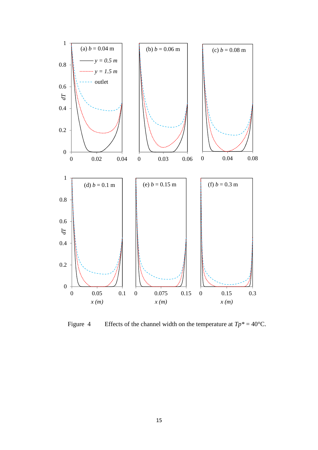

Figure 4 Effects of the channel width on the temperature at  $Tp^* = 40^{\circ}C$ .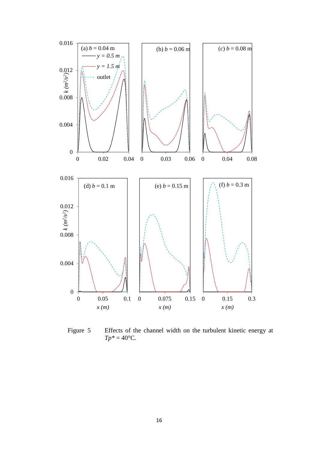

Figure 5 Effects of the channel width on the turbulent kinetic energy at  $Tp^* = 40^{\circ}C$ .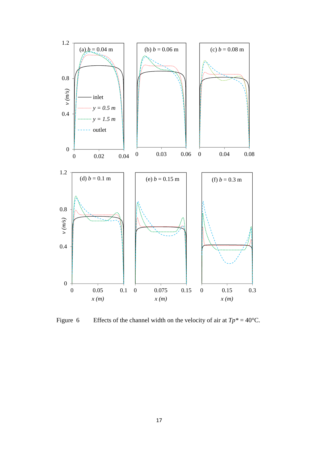

Figure 6 Effects of the channel width on the velocity of air at  $Tp^* = 40^{\circ}C$ .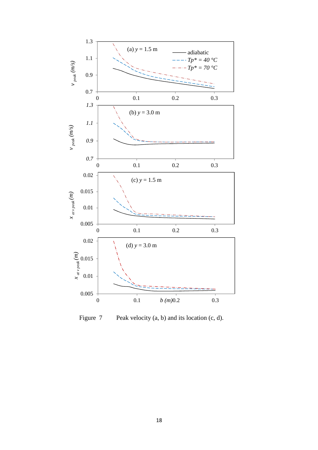

Figure 7 Peak velocity (a, b) and its location (c, d).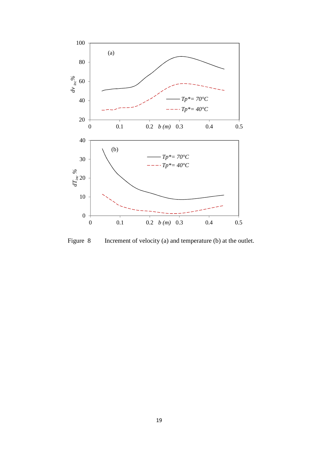

Figure 8 Increment of velocity (a) and temperature (b) at the outlet.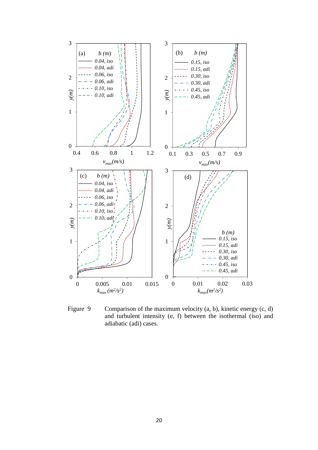

Figure 9 Comparison of the maximum velocity (a, b), kinetic energy (c, d) and turbulent intensity (e, f) between the isothermal (iso) and adiabatic (adi) cases.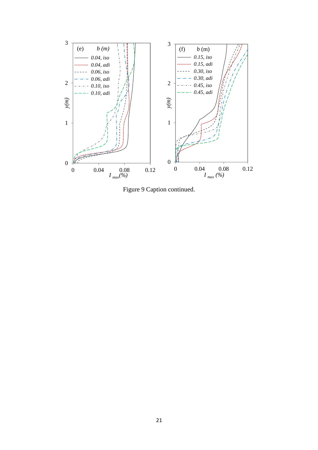

Figure 9 Caption continued.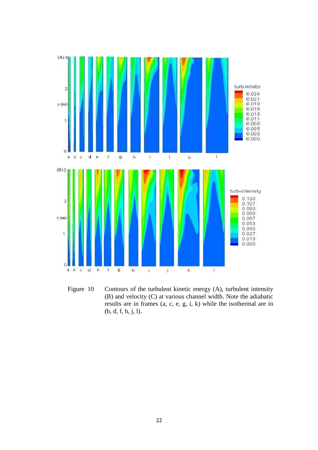

Figure 10 Contours of the turbulent kinetic energy (A), turbulent intensity (B) and velocity (C) at various channel width. Note the adiabatic results are in frames (a, c, e, g, i, k) while the isothermal are in (b, d, f, h, j, l).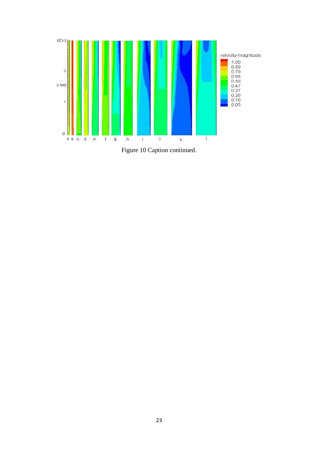

Figure 10 Caption continued.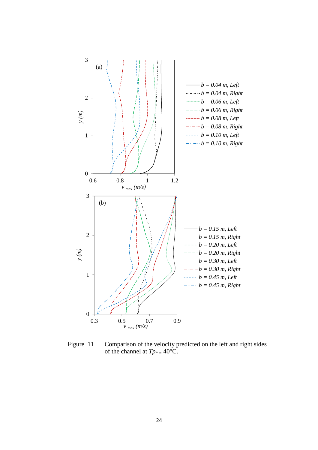

Figure 11 Comparison of the velocity predicted on the left and right sides of the channel at *Tp\* =* 40°C.